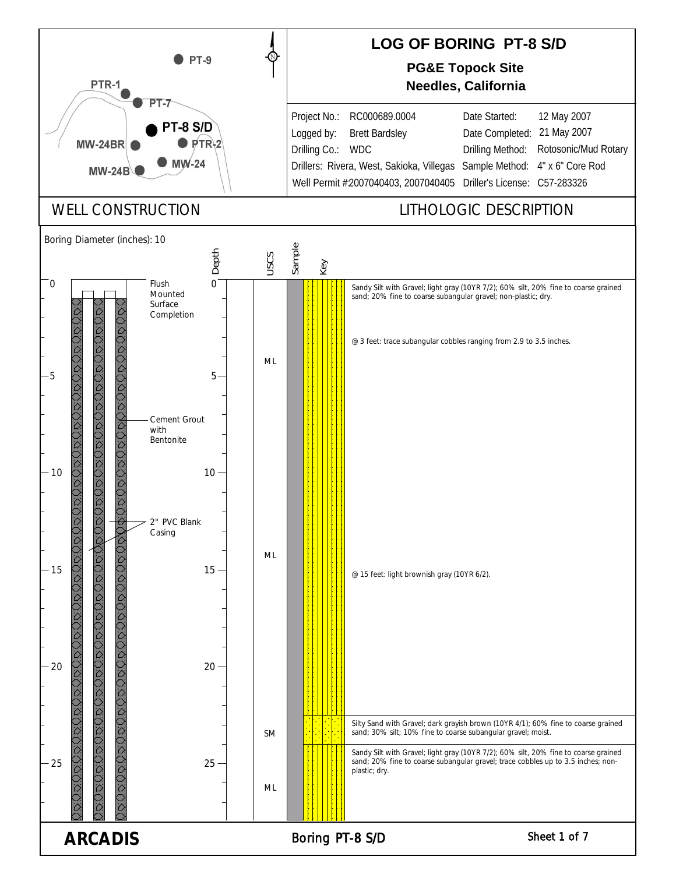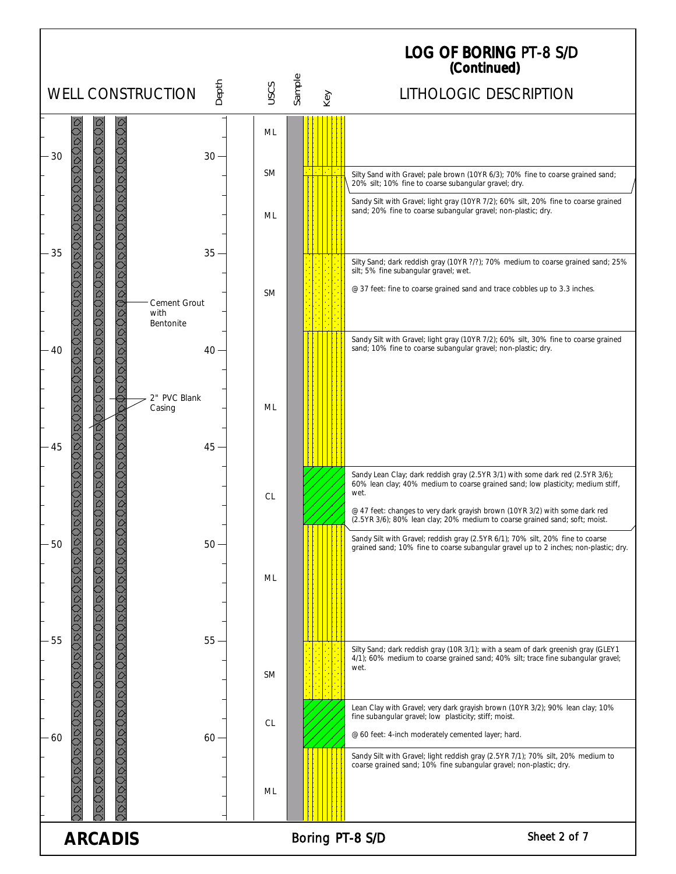## LOG OF BORING (Continued) PT-8 S/D

|                          |                                        |           |                             | (Continued)                                                                                                                                                                                                                                                                                                                             |
|--------------------------|----------------------------------------|-----------|-----------------------------|-----------------------------------------------------------------------------------------------------------------------------------------------------------------------------------------------------------------------------------------------------------------------------------------------------------------------------------------|
| <b>WELL CONSTRUCTION</b> | Depth                                  | USCS      | Sample<br>Key               | LITHOLOGIC DESCRIPTION                                                                                                                                                                                                                                                                                                                  |
| 000000000<br>30          | $30 -$                                 | ML        |                             |                                                                                                                                                                                                                                                                                                                                         |
|                          |                                        | <b>SM</b> | $\mathcal{L}^{\mathcal{L}}$ | Silty Sand with Gravel; pale brown (10YR 6/3); 70% fine to coarse grained sand;<br>20% silt; 10% fine to coarse subangular gravel; dry.                                                                                                                                                                                                 |
| 35                       | 35                                     | ML        |                             | Sandy Silt with Gravel; light gray (10YR 7/2); 60% silt, 20% fine to coarse grained<br>sand; 20% fine to coarse subangular gravel; non-plastic; dry.                                                                                                                                                                                    |
|                          |                                        |           |                             | Silty Sand; dark reddish gray (10YR ?/?); 70% medium to coarse grained sand; 25%<br>silt; 5% fine subangular gravel; wet.                                                                                                                                                                                                               |
|                          | Cement Grout<br>with<br>Bentonite      | <b>SM</b> |                             | @ 37 feet: fine to coarse grained sand and trace cobbles up to 3.3 inches.                                                                                                                                                                                                                                                              |
| - 40                     | $40 -$<br>2" PVC Blank<br>Casing<br>45 | ML        |                             | Sandy Silt with Gravel; light gray (10YR 7/2); 60% silt, 30% fine to coarse grained<br>sand; 10% fine to coarse subangular gravel; non-plastic; dry.                                                                                                                                                                                    |
| 45                       |                                        |           |                             |                                                                                                                                                                                                                                                                                                                                         |
|                          |                                        | CL        |                             | Sandy Lean Clay; dark reddish gray (2.5YR 3/1) with some dark red (2.5YR 3/6);<br>60% lean clay; 40% medium to coarse grained sand; low plasticity; medium stiff,<br>wet.<br>@ 47 feet: changes to very dark grayish brown (10YR 3/2) with some dark red<br>(2.5YR 3/6); 80% lean clay; 20% medium to coarse grained sand; soft; moist. |
| SSS.<br>50               | 50 <sub>1</sub>                        | ML        |                             | Sandy Silt with Gravel; reddish gray (2.5YR 6/1); 70% silt, 20% fine to coarse<br>grained sand; 10% fine to coarse subangular gravel up to 2 inches; non-plastic; dry.                                                                                                                                                                  |
| 55                       | $55 -$                                 | <b>SM</b> |                             | Silty Sand; dark reddish gray (10R 3/1); with a seam of dark greenish gray (GLEY1<br>4/1); 60% medium to coarse grained sand; 40% silt; trace fine subangular gravel;<br>wet.                                                                                                                                                           |
| 60                       | 60                                     | <b>CL</b> |                             | Lean Clay with Gravel; very dark grayish brown (10YR 3/2); 90% lean clay; 10%<br>fine subangular gravel; low plasticity; stiff; moist.<br>@ 60 feet: 4-inch moderately cemented layer; hard.                                                                                                                                            |
|                          |                                        | ML        |                             | Sandy Silt with Gravel; light reddish gray (2.5YR 7/1); 70% silt, 20% medium to<br>coarse grained sand; 10% fine subangular gravel; non-plastic; dry.                                                                                                                                                                                   |
| <b>ARCADIS</b>           |                                        |           | Boring PT-8 S/D             | Sheet 2 of 7                                                                                                                                                                                                                                                                                                                            |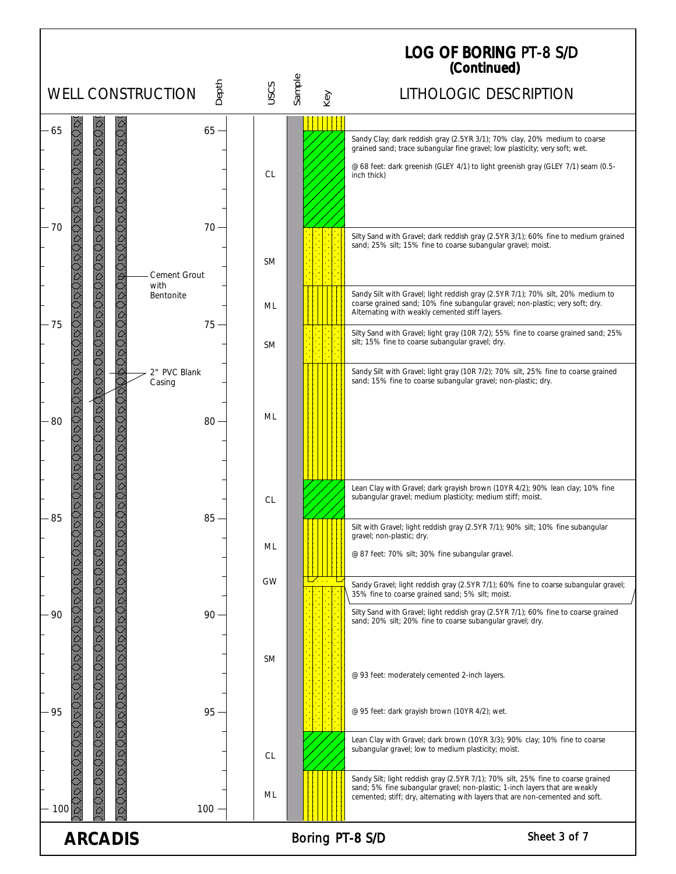| <b>LOG OF BORING PT-8 S/D</b><br>(Continued)      |                                |                        |         |           |               |                           |                                                                                                                                                                  |
|---------------------------------------------------|--------------------------------|------------------------|---------|-----------|---------------|---------------------------|------------------------------------------------------------------------------------------------------------------------------------------------------------------|
|                                                   | <b>WELL CONSTRUCTION</b>       |                        | Depth   | USCS      | Sample<br>Key |                           | LITHOLOGIC DESCRIPTION                                                                                                                                           |
| 65                                                |                                |                        | $65 -$  |           |               |                           |                                                                                                                                                                  |
|                                                   | QOODO                          |                        |         |           |               |                           | Sandy Clay; dark reddish gray (2.5YR 3/1); 70% clay, 20% medium to coarse<br>grained sand; trace subangular fine gravel; low plasticity; very soft; wet.         |
|                                                   |                                |                        |         |           |               |                           | @ 68 feet: dark greenish (GLEY 4/1) to light greenish gray (GLEY 7/1) seam (0.5-                                                                                 |
|                                                   |                                |                        |         | <b>CL</b> |               | inch thick)               |                                                                                                                                                                  |
|                                                   |                                |                        |         |           |               |                           |                                                                                                                                                                  |
| $-70$                                             |                                |                        | $70 -$  |           |               |                           |                                                                                                                                                                  |
|                                                   |                                |                        |         |           |               |                           | Silty Sand with Gravel; dark reddish gray (2.5YR 3/1); 60% fine to medium grained<br>sand; 25% silt; 15% fine to coarse subangular gravel; moist.                |
|                                                   |                                |                        |         | <b>SM</b> |               |                           |                                                                                                                                                                  |
|                                                   |                                | Cement Grout<br>with   |         |           |               |                           |                                                                                                                                                                  |
|                                                   |                                | <b>Bentonite</b>       |         | ML        |               |                           | Sandy Silt with Gravel; light reddish gray (2.5YR 7/1); 70% silt, 20% medium to<br>coarse grained sand; 10% fine subangular gravel; non-plastic; very soft; dry. |
| 75                                                |                                |                        | $75 -$  |           |               |                           | Alternating with weakly cemented stiff layers.                                                                                                                   |
|                                                   |                                |                        |         | <b>SM</b> |               |                           | Silty Sand with Gravel; light gray (10R 7/2); 55% fine to coarse grained sand; 25%<br>silt; 15% fine to coarse subangular gravel; dry.                           |
|                                                   |                                |                        |         |           |               |                           |                                                                                                                                                                  |
|                                                   |                                | 2" PVC Blank<br>Casing |         |           |               |                           | Sandy Silt with Gravel; light gray (10R 7/2); 70% silt, 25% fine to coarse grained<br>sand; 15% fine to coarse subangular gravel; non-plastic; dry.              |
|                                                   |                                |                        |         |           |               |                           |                                                                                                                                                                  |
| 80                                                |                                |                        | $80 -$  | ML        |               |                           |                                                                                                                                                                  |
|                                                   |                                |                        |         |           |               |                           |                                                                                                                                                                  |
|                                                   |                                |                        |         |           |               |                           |                                                                                                                                                                  |
|                                                   |                                |                        |         |           |               |                           |                                                                                                                                                                  |
|                                                   |                                |                        |         |           |               |                           | Lean Clay with Gravel; dark grayish brown (10YR 4/2); 90% lean clay; 10% fine<br>subangular gravel; medium plasticity; medium stiff; moist.                      |
| 85                                                |                                |                        | $85 -$  | <b>CL</b> |               |                           |                                                                                                                                                                  |
|                                                   |                                |                        |         |           |               | gravel; non-plastic; dry. | Silt with Gravel; light reddish gray (2.5YR 7/1); 90% silt; 10% fine subangular                                                                                  |
|                                                   |                                |                        |         | ML        |               |                           | @ 87 feet: 70% silt; 30% fine subangular gravel.                                                                                                                 |
|                                                   |                                |                        |         |           |               |                           |                                                                                                                                                                  |
|                                                   |                                |                        |         | <b>GW</b> |               |                           | Sandy Gravel; light reddish gray (2.5YR 7/1); 60% fine to coarse subangular gravel;<br>35% fine to coarse grained sand; 5% silt; moist.                          |
| 90                                                | やひめのもないかいかいかいかいでいるかいかいかいかいかいかい |                        | $90 -$  |           |               |                           | Silty Sand with Gravel; light reddish gray (2.5YR 7/1); 60% fine to coarse grained                                                                               |
|                                                   |                                |                        |         |           |               |                           | sand; 20% silt; 20% fine to coarse subangular gravel; dry.                                                                                                       |
|                                                   |                                |                        |         |           |               |                           |                                                                                                                                                                  |
|                                                   |                                |                        |         | <b>SM</b> |               |                           |                                                                                                                                                                  |
|                                                   |                                |                        |         |           |               |                           | @ 93 feet: moderately cemented 2-inch layers.                                                                                                                    |
|                                                   |                                |                        |         |           |               |                           |                                                                                                                                                                  |
| 95                                                |                                |                        | $95 -$  |           |               |                           | @ 95 feet: dark grayish brown (10YR 4/2); wet.                                                                                                                   |
|                                                   |                                |                        |         |           |               |                           | Lean Clay with Gravel; dark brown (10YR 3/3); 90% clay; 10% fine to coarse<br>subangular gravel; low to medium plasticity; moist.                                |
|                                                   |                                |                        |         | CL        |               |                           |                                                                                                                                                                  |
|                                                   |                                |                        |         |           |               |                           | Sandy Silt; light reddish gray (2.5YR 7/1); 70% silt, 25% fine to coarse grained<br>sand; 5% fine subangular gravel; non-plastic; 1-inch layers that are weakly  |
| $\frac{1}{\tilde{D}}$                             |                                |                        |         | ML        |               |                           | cemented; stiff; dry, alternating with layers that are non-cemented and soft.                                                                                    |
| 100                                               |                                |                        | $100 -$ |           |               |                           |                                                                                                                                                                  |
| Sheet 3 of 7<br><b>ARCADIS</b><br>Boring PT-8 S/D |                                |                        |         |           |               |                           |                                                                                                                                                                  |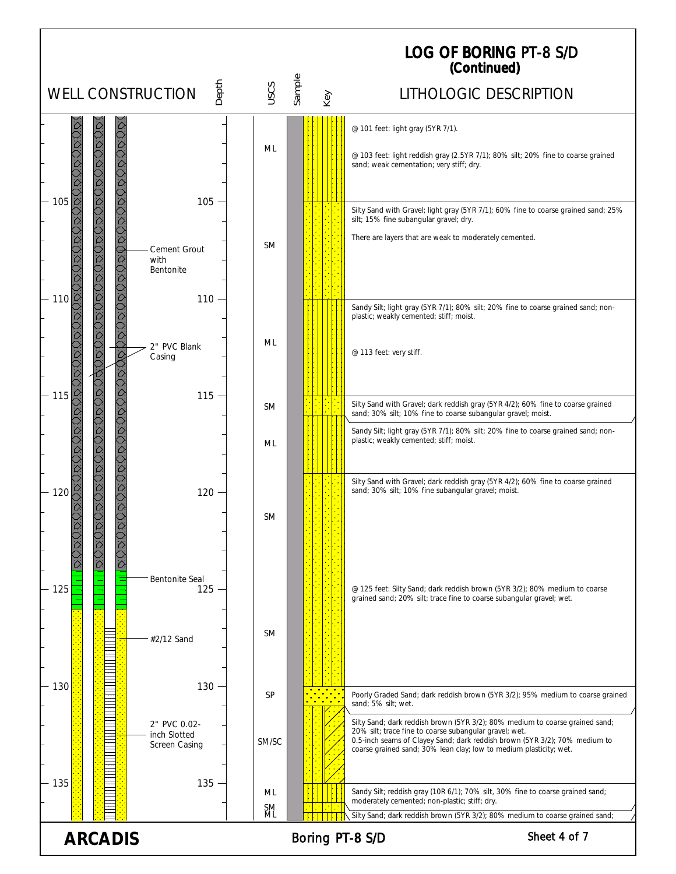| Depth<br>uscs<br><b>WELL CONSTRUCTION</b><br>LITHOLOGIC DESCRIPTION<br>Key<br>OOOO<br>SOS<br>S<br>@ 101 feet: light gray (5YR 7/1).<br>ML<br>@ 103 feet: light reddish gray (2.5YR 7/1); 80% silt; 20% fine to coarse grained<br>sand; weak cementation; very stiff; dry.<br>JOUOU<br>Ö.<br>105<br>105<br>Silty Sand with Gravel; light gray (5YR 7/1); 60% fine to coarse grained sand; 25%<br>silt; 15% fine subangular gravel; dry.<br>There are layers that are weak to moderately cemented.<br><b>SM</b><br>Cement Grout<br>with<br>Bentonite<br>110<br>110<br>Sandy Silt; light gray (5YR 7/1); 80% silt; 20% fine to coarse grained sand; non-<br>plastic; weakly cemented; stiff; moist.<br>ML<br>2" PVC Blank<br>@ 113 feet: very stiff.<br>Casing<br>115<br>$115 -$<br>Silty Sand with Gravel; dark reddish gray (5YR 4/2); 60% fine to coarse grained<br><b>SM</b><br>sand; 30% silt; 10% fine to coarse subangular gravel; moist.<br>Sandy Silt; light gray (5YR 7/1); 80% silt; 20% fine to coarse grained sand; non-<br>plastic; weakly cemented; stiff; moist.<br>ML<br>Silty Sand with Gravel; dark reddish gray (5YR 4/2); 60% fine to coarse grained<br>sand; 30% silt; 10% fine subangular gravel; moist.<br>120<br>120<br><b>SM</b><br><b>Bentonite Seal</b><br>125<br>$125 -$<br>@ 125 feet: Silty Sand; dark reddish brown (5YR 3/2); 80% medium to coarse<br>grained sand; 20% silt; trace fine to coarse subangular gravel; wet.<br><b>SM</b><br>#2/12 Sand<br>130<br>$130 -$<br><b>SP</b><br>Poorly Graded Sand; dark reddish brown (5YR 3/2); 95% medium to coarse grained<br>sand; 5% silt; wet.<br>Silty Sand; dark reddish brown (5YR 3/2); 80% medium to coarse grained sand;<br>2" PVC 0.02-<br>20% silt; trace fine to coarse subangular gravel; wet.<br>inch Slotted<br>0.5-inch seams of Clayey Sand; dark reddish brown (5YR 3/2); 70% medium to<br>SM/SC<br>Screen Casing<br>coarse grained sand; 30% lean clay; low to medium plasticity; wet.<br>135<br>$135 -$<br>Sandy Silt; reddish gray (10R 6/1); 70% silt, 30% fine to coarse grained sand;<br>ML<br>moderately cemented; non-plastic; stiff; dry.<br>SM<br>ML<br>Silty Sand; dark reddish brown (5YR 3/2); 80% medium to coarse grained sand;<br>Sheet 4 of 7<br><b>ARCADIS</b><br>Boring PT-8 S/D |  |        | <b>LOG OF BORING PT-8 S/D</b><br>(Continued) |
|-------------------------------------------------------------------------------------------------------------------------------------------------------------------------------------------------------------------------------------------------------------------------------------------------------------------------------------------------------------------------------------------------------------------------------------------------------------------------------------------------------------------------------------------------------------------------------------------------------------------------------------------------------------------------------------------------------------------------------------------------------------------------------------------------------------------------------------------------------------------------------------------------------------------------------------------------------------------------------------------------------------------------------------------------------------------------------------------------------------------------------------------------------------------------------------------------------------------------------------------------------------------------------------------------------------------------------------------------------------------------------------------------------------------------------------------------------------------------------------------------------------------------------------------------------------------------------------------------------------------------------------------------------------------------------------------------------------------------------------------------------------------------------------------------------------------------------------------------------------------------------------------------------------------------------------------------------------------------------------------------------------------------------------------------------------------------------------------------------------------------------------------------------------------------------------------------------------------------------------------------------------------------------------------------|--|--------|----------------------------------------------|
|                                                                                                                                                                                                                                                                                                                                                                                                                                                                                                                                                                                                                                                                                                                                                                                                                                                                                                                                                                                                                                                                                                                                                                                                                                                                                                                                                                                                                                                                                                                                                                                                                                                                                                                                                                                                                                                                                                                                                                                                                                                                                                                                                                                                                                                                                                 |  | Sample |                                              |
|                                                                                                                                                                                                                                                                                                                                                                                                                                                                                                                                                                                                                                                                                                                                                                                                                                                                                                                                                                                                                                                                                                                                                                                                                                                                                                                                                                                                                                                                                                                                                                                                                                                                                                                                                                                                                                                                                                                                                                                                                                                                                                                                                                                                                                                                                                 |  |        |                                              |
|                                                                                                                                                                                                                                                                                                                                                                                                                                                                                                                                                                                                                                                                                                                                                                                                                                                                                                                                                                                                                                                                                                                                                                                                                                                                                                                                                                                                                                                                                                                                                                                                                                                                                                                                                                                                                                                                                                                                                                                                                                                                                                                                                                                                                                                                                                 |  |        |                                              |
|                                                                                                                                                                                                                                                                                                                                                                                                                                                                                                                                                                                                                                                                                                                                                                                                                                                                                                                                                                                                                                                                                                                                                                                                                                                                                                                                                                                                                                                                                                                                                                                                                                                                                                                                                                                                                                                                                                                                                                                                                                                                                                                                                                                                                                                                                                 |  |        |                                              |
|                                                                                                                                                                                                                                                                                                                                                                                                                                                                                                                                                                                                                                                                                                                                                                                                                                                                                                                                                                                                                                                                                                                                                                                                                                                                                                                                                                                                                                                                                                                                                                                                                                                                                                                                                                                                                                                                                                                                                                                                                                                                                                                                                                                                                                                                                                 |  |        |                                              |
|                                                                                                                                                                                                                                                                                                                                                                                                                                                                                                                                                                                                                                                                                                                                                                                                                                                                                                                                                                                                                                                                                                                                                                                                                                                                                                                                                                                                                                                                                                                                                                                                                                                                                                                                                                                                                                                                                                                                                                                                                                                                                                                                                                                                                                                                                                 |  |        |                                              |
|                                                                                                                                                                                                                                                                                                                                                                                                                                                                                                                                                                                                                                                                                                                                                                                                                                                                                                                                                                                                                                                                                                                                                                                                                                                                                                                                                                                                                                                                                                                                                                                                                                                                                                                                                                                                                                                                                                                                                                                                                                                                                                                                                                                                                                                                                                 |  |        |                                              |
|                                                                                                                                                                                                                                                                                                                                                                                                                                                                                                                                                                                                                                                                                                                                                                                                                                                                                                                                                                                                                                                                                                                                                                                                                                                                                                                                                                                                                                                                                                                                                                                                                                                                                                                                                                                                                                                                                                                                                                                                                                                                                                                                                                                                                                                                                                 |  |        |                                              |
|                                                                                                                                                                                                                                                                                                                                                                                                                                                                                                                                                                                                                                                                                                                                                                                                                                                                                                                                                                                                                                                                                                                                                                                                                                                                                                                                                                                                                                                                                                                                                                                                                                                                                                                                                                                                                                                                                                                                                                                                                                                                                                                                                                                                                                                                                                 |  |        |                                              |
|                                                                                                                                                                                                                                                                                                                                                                                                                                                                                                                                                                                                                                                                                                                                                                                                                                                                                                                                                                                                                                                                                                                                                                                                                                                                                                                                                                                                                                                                                                                                                                                                                                                                                                                                                                                                                                                                                                                                                                                                                                                                                                                                                                                                                                                                                                 |  |        |                                              |
|                                                                                                                                                                                                                                                                                                                                                                                                                                                                                                                                                                                                                                                                                                                                                                                                                                                                                                                                                                                                                                                                                                                                                                                                                                                                                                                                                                                                                                                                                                                                                                                                                                                                                                                                                                                                                                                                                                                                                                                                                                                                                                                                                                                                                                                                                                 |  |        |                                              |
|                                                                                                                                                                                                                                                                                                                                                                                                                                                                                                                                                                                                                                                                                                                                                                                                                                                                                                                                                                                                                                                                                                                                                                                                                                                                                                                                                                                                                                                                                                                                                                                                                                                                                                                                                                                                                                                                                                                                                                                                                                                                                                                                                                                                                                                                                                 |  |        |                                              |
|                                                                                                                                                                                                                                                                                                                                                                                                                                                                                                                                                                                                                                                                                                                                                                                                                                                                                                                                                                                                                                                                                                                                                                                                                                                                                                                                                                                                                                                                                                                                                                                                                                                                                                                                                                                                                                                                                                                                                                                                                                                                                                                                                                                                                                                                                                 |  |        |                                              |
|                                                                                                                                                                                                                                                                                                                                                                                                                                                                                                                                                                                                                                                                                                                                                                                                                                                                                                                                                                                                                                                                                                                                                                                                                                                                                                                                                                                                                                                                                                                                                                                                                                                                                                                                                                                                                                                                                                                                                                                                                                                                                                                                                                                                                                                                                                 |  |        |                                              |
|                                                                                                                                                                                                                                                                                                                                                                                                                                                                                                                                                                                                                                                                                                                                                                                                                                                                                                                                                                                                                                                                                                                                                                                                                                                                                                                                                                                                                                                                                                                                                                                                                                                                                                                                                                                                                                                                                                                                                                                                                                                                                                                                                                                                                                                                                                 |  |        |                                              |
|                                                                                                                                                                                                                                                                                                                                                                                                                                                                                                                                                                                                                                                                                                                                                                                                                                                                                                                                                                                                                                                                                                                                                                                                                                                                                                                                                                                                                                                                                                                                                                                                                                                                                                                                                                                                                                                                                                                                                                                                                                                                                                                                                                                                                                                                                                 |  |        |                                              |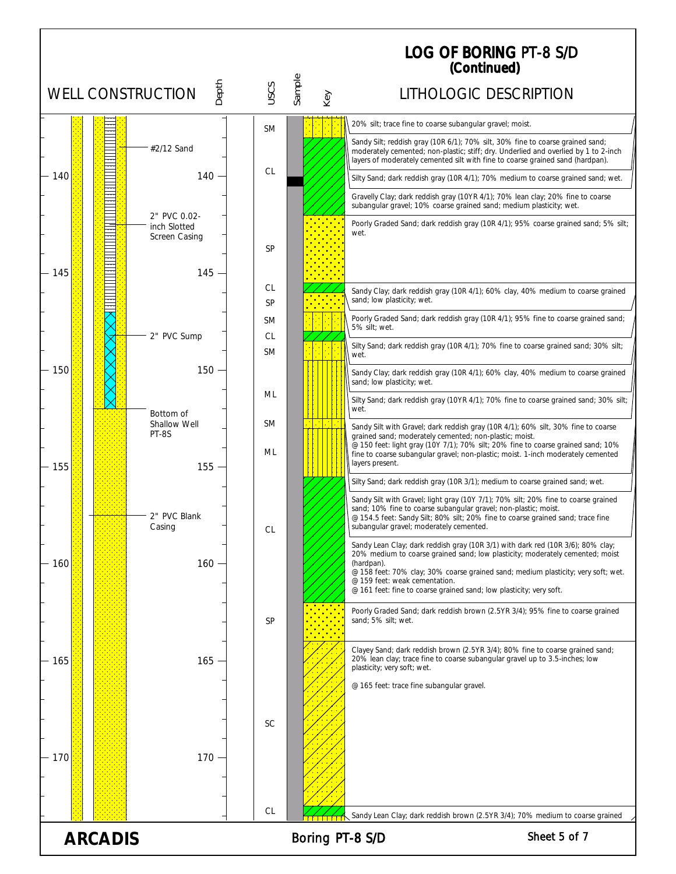LOG OF BORING (Continued) PT-8 S/D

|     |                | Depth<br><b>WELL CONSTRUCTION</b>             | uscs            | Sample<br>Key   | LITHOLOGIC DESCRIPTION                                                                                                                                                                                                                                  |
|-----|----------------|-----------------------------------------------|-----------------|-----------------|---------------------------------------------------------------------------------------------------------------------------------------------------------------------------------------------------------------------------------------------------------|
|     |                |                                               | <b>SM</b>       |                 | 20% silt; trace fine to coarse subangular gravel; moist.                                                                                                                                                                                                |
|     |                | #2/12 Sand                                    |                 |                 | Sandy Silt; reddish gray (10R 6/1); 70% silt, 30% fine to coarse grained sand;<br>moderately cemented; non-plastic; stiff; dry. Underlied and overlied by 1 to 2-inch<br>layers of moderately cemented silt with fine to coarse grained sand (hardpan). |
| 140 |                | 140                                           | <sub>CL</sub>   |                 | Silty Sand; dark reddish gray (10R 4/1); 70% medium to coarse grained sand; wet.                                                                                                                                                                        |
|     |                |                                               |                 |                 | Gravelly Clay; dark reddish gray (10YR 4/1); 70% lean clay; 20% fine to coarse<br>subangular gravel; 10% coarse grained sand; medium plasticity; wet.                                                                                                   |
|     | $\frac{1}{2}$  | 2" PVC 0.02-<br>inch Slotted<br>Screen Casing |                 |                 | Poorly Graded Sand; dark reddish gray (10R 4/1); 95% coarse grained sand; 5% silt;<br>wet.                                                                                                                                                              |
|     |                |                                               | SP              |                 |                                                                                                                                                                                                                                                         |
| 145 |                | $145 -$                                       |                 |                 |                                                                                                                                                                                                                                                         |
|     |                |                                               | <b>CL</b><br>SP |                 | Sandy Clay; dark reddish gray (10R 4/1); 60% clay, 40% medium to coarse grained<br>sand; low plasticity; wet.                                                                                                                                           |
|     |                |                                               | SM              |                 | Poorly Graded Sand; dark reddish gray (10R 4/1); 95% fine to coarse grained sand;<br>5% silt; wet.                                                                                                                                                      |
|     |                | 2" PVC Sump                                   | CL<br><b>SM</b> |                 | Silty Sand; dark reddish gray (10R 4/1); 70% fine to coarse grained sand; 30% silt;<br>wet.                                                                                                                                                             |
| 150 |                | $150 -$                                       |                 |                 | Sandy Clay; dark reddish gray (10R 4/1); 60% clay, 40% medium to coarse grained<br>sand; low plasticity; wet.                                                                                                                                           |
|     |                | Bottom of                                     | ML              |                 | Silty Sand; dark reddish gray (10YR 4/1); 70% fine to coarse grained sand; 30% silt;<br>wet.                                                                                                                                                            |
|     |                | Shallow Well<br>PT-8S                         | <b>SM</b>       |                 | Sandy Silt with Gravel; dark reddish gray (10R 4/1); 60% silt, 30% fine to coarse<br>grained sand; moderately cemented; non-plastic; moist.                                                                                                             |
| 155 |                | 155                                           | ML              |                 | @ 150 feet: light gray (10Y 7/1); 70% silt; 20% fine to coarse grained sand; 10%<br>fine to coarse subangular gravel; non-plastic; moist. 1-inch moderately cemented<br>layers present.                                                                 |
|     |                |                                               |                 |                 | Silty Sand; dark reddish gray (10R 3/1); medium to coarse grained sand; wet.                                                                                                                                                                            |
|     |                | 2" PVC Blank                                  |                 |                 | Sandy Silt with Gravel; light gray (10Y 7/1); 70% silt; 20% fine to coarse grained<br>sand; 10% fine to coarse subangular gravel; non-plastic; moist.<br>@ 154.5 feet: Sandy Silt; 80% silt; 20% fine to coarse grained sand; trace fine                |
|     |                | Casing                                        | <b>CL</b>       |                 | subangular gravel; moderately cemented.                                                                                                                                                                                                                 |
| 160 |                | $160 -$                                       |                 |                 | Sandy Lean Clay; dark reddish gray (10R 3/1) with dark red (10R 3/6); 80% clay;<br>20% medium to coarse grained sand; low plasticity; moderately cemented; moist<br>(hardpan).                                                                          |
|     |                |                                               |                 |                 | @ 158 feet: 70% clay; 30% coarse grained sand; medium plasticity; very soft; wet.<br>@ 159 feet: weak cementation.<br>@ 161 feet: fine to coarse grained sand; low plasticity; very soft.                                                               |
|     |                |                                               |                 |                 | Poorly Graded Sand; dark reddish brown (2.5YR 3/4); 95% fine to coarse grained                                                                                                                                                                          |
|     |                |                                               | <b>SP</b>       |                 | sand; 5% silt; wet.                                                                                                                                                                                                                                     |
| 165 |                | $165 -$                                       |                 |                 | Clayey Sand; dark reddish brown (2.5YR 3/4); 80% fine to coarse grained sand;<br>20% lean clay; trace fine to coarse subangular gravel up to 3.5-inches; low                                                                                            |
|     |                |                                               |                 |                 | plasticity; very soft; wet.<br>@ 165 feet: trace fine subangular gravel.                                                                                                                                                                                |
|     |                |                                               |                 |                 |                                                                                                                                                                                                                                                         |
|     |                |                                               | <b>SC</b>       |                 |                                                                                                                                                                                                                                                         |
|     |                |                                               |                 |                 |                                                                                                                                                                                                                                                         |
| 170 |                | 170                                           |                 |                 |                                                                                                                                                                                                                                                         |
|     |                |                                               |                 |                 |                                                                                                                                                                                                                                                         |
|     |                |                                               | <sub>CL</sub>   |                 | Sandy Lean Clay; dark reddish brown (2.5YR 3/4); 70% medium to coarse grained                                                                                                                                                                           |
|     | <b>ARCADIS</b> |                                               |                 | Boring PT-8 S/D | Sheet 5 of 7                                                                                                                                                                                                                                            |
|     |                |                                               |                 |                 |                                                                                                                                                                                                                                                         |

I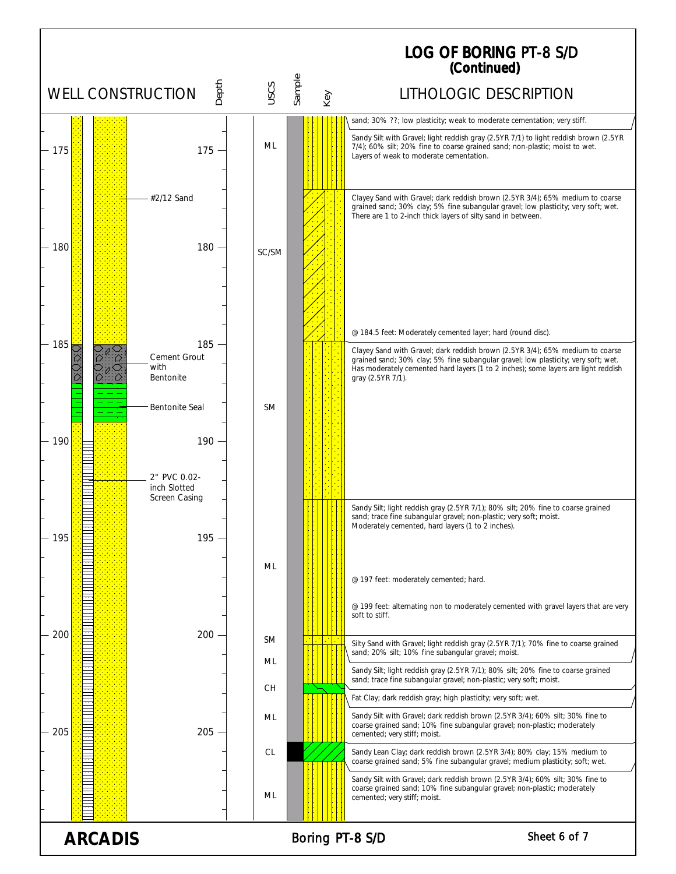LOG OF BORING PT-8 S/D(Continued) WELL CONSTRUCTION  $\frac{2}{5}$   $\frac{2}{5}$   $\frac{2}{5}$   $\frac{2}{5}$  LITHOLOGIC DESCRIPTION sand; 30% ??; low plasticity; weak to moderate cementation; very stiff. Sandy Silt with Gravel; light reddish gray (2.5YR 7/1) to light reddish brown (2.5YR ML 7/4); 60% silt; 20% fine to coarse grained sand; non-plastic; moist to wet. 175 175 Layers of weak to moderate cementation. #2/12 Sand Clayey Sand with Gravel; dark reddish brown (2.5YR 3/4); 65% medium to coarse grained sand; 30% clay; 5% fine subangular gravel; low plasticity; very soft; wet. There are 1 to 2-inch thick layers of silty sand in between. 180 180 SC/SM @ 184.5 feet: Moderately cemented layer; hard (round disc). 185 185 Clayey Sand with Gravel; dark reddish brown (2.5YR 3/4); 65% medium to coarse Cement Grout grained sand; 30% clay; 5% fine subangular gravel; low plasticity; very soft; wet. with Has moderately cemented hard layers (1 to 2 inches); some layers are light reddish Bentonite gray (2.5YR 7/1). Bentonite Seal SM 190 190 2" PVC 0.02 inch Slotted Screen Casing Sandy Silt; light reddish gray (2.5YR 7/1); 80% silt; 20% fine to coarse grained sand; trace fine subangular gravel; non-plastic; very soft; moist. Moderately cemented, hard layers (1 to 2 inches). 195 195 =<br>=<br>=<br>= ML  $\equiv$ @ 197 feet: moderately cemented; hard. @ 199 feet: alternating non to moderately cemented with gravel layers that are very soft to stiff. 200  $\frac{1}{\sqrt{2}}$ 200 SM Silty Sand with Gravel; light reddish gray (2.5YR 7/1); 70% fine to coarse grained sand; 20% silt; 10% fine subangular gravel; moist. Ξ ML Sandy Silt; light reddish gray (2.5YR 7/1); 80% silt; 20% fine to coarse grained ī sand; trace fine subangular gravel; non-plastic; very soft; moist. CH  $\frac{1}{\sqrt{2}}$ Fat Clay; dark reddish gray; high plasticity; very soft; wet. Sandy Silt with Gravel; dark reddish brown (2.5YR 3/4); 60% silt; 30% fine to ML coarse grained sand; 10% fine subangular gravel; non-plastic; moderately 205 205 cemented; very stiff; moist. CL Sandy Lean Clay; dark reddish brown (2.5YR 3/4); 80% clay; 15% medium to coarse grained sand; 5% fine subangular gravel; medium plasticity; soft; wet. Sandy Silt with Gravel; dark reddish brown (2.5YR 3/4); 60% silt; 30% fine to coarse grained sand; 10% fine subangular gravel; non-plastic; moderately ML cemented; very stiff; moist. ARCADIS Boring PT-8 S/D Sheet 6 of 7